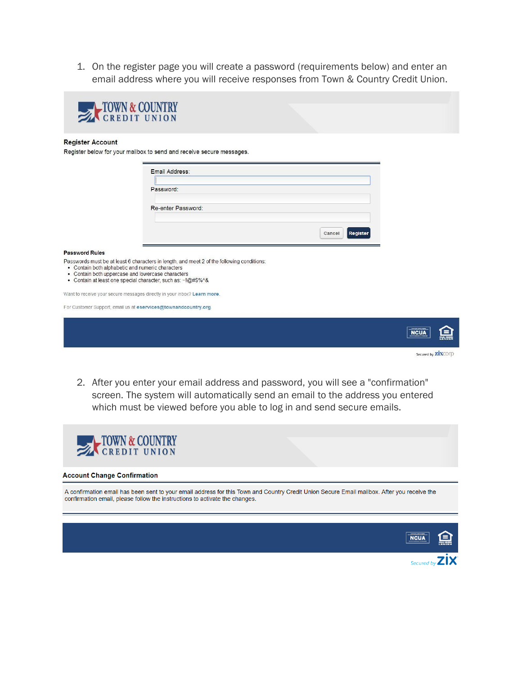1. On the register page you will create a password (requirements below) and enter an email address where you will receive responses from Town & Country Credit Union.



## **Register Account**

Register below for your mailbox to send and receive secure messages.

| Email Address:     |                    |
|--------------------|--------------------|
| Password:          |                    |
| Re-enter Password: |                    |
|                    |                    |
|                    | Register<br>Cancel |

## **Password Rules**

Passwords must be at least 6 characters in length, and meet 2 of the following conditions:

- Contain both alphabetic and numeric characters
- Contain both uppercase and lowercase characters
- Contain at least one special character, such as: ~!@#\$%^&

Want to receive your secure messages directly in your inbox? Learn more.

For Customer Support, email us at eservices@townandcountry.org.



2. After you enter your email address and password, you will see a "confirmation" screen. The system will automatically send an email to the address you entered which must be viewed before you able to log in and send secure emails.



## **Account Change Confirmation**

A confirmation email has been sent to your email address for this Town and Country Credit Union Secure Email mailbox. After you receive the confirmation email, please follow the instructions to activate the changes.

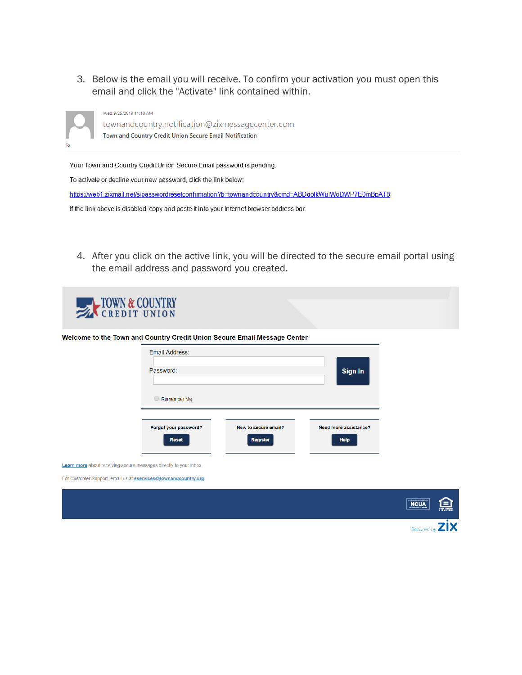3. Below is the email you will receive. To confirm your activation you must open this email and click the "Activate" link contained within.



townandcountry.notification@zixmessagecenter.com Town and Country Credit Union Secure Email Notification

Your Town and Country Credit Union Secure Email password is pending.

To activate or decline your new password, click the link below:

Wed 9/25/2019 11:10 AM

https://web1.zixmail.net/s/passwordresetconfirmation?b=townandcountry&cmd=ABDgolkWuIWoDWP7E0mBpAT8

If the link above is disabled, copy and paste it into your Internet browser address bar.

4. After you click on the active link, you will be directed to the secure email portal using the email address and password you created.



For Customer Support, email us at **eservices@townandcountry.org**.

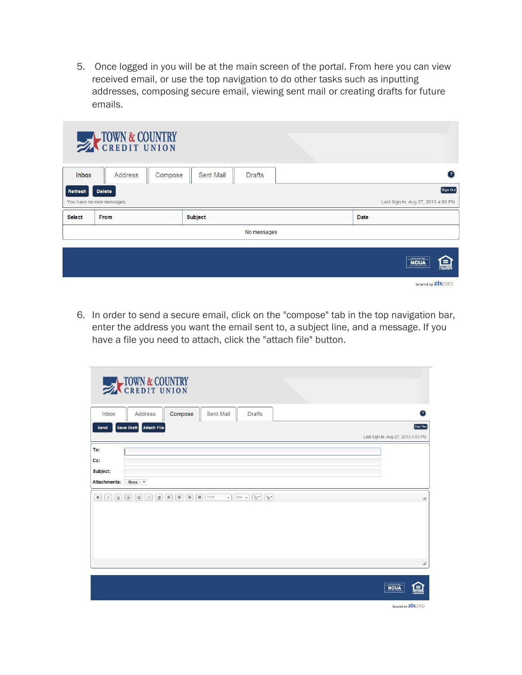5. Once logged in you will be at the main screen of the portal. From here you can view received email, or use the top navigation to do other tasks such as inputting addresses, composing secure email, viewing sent mail or creating drafts for future emails.

|               | TOWN & COUNTRY            |                            |  |                                                                                                                 |  |
|---------------|---------------------------|----------------------------|--|-----------------------------------------------------------------------------------------------------------------|--|
| <b>Inbox</b>  | Address<br>Compose        | Sent Mail<br><b>Drafts</b> |  | $\Omega$                                                                                                        |  |
| Refresh       | <b>Delete</b>             |                            |  | Sign Out                                                                                                        |  |
|               | You have no new messages. |                            |  | Last Sign In: Aug 27, 2013 4:03 PM                                                                              |  |
| <b>Select</b> | From                      | <b>Subject</b>             |  | <b>Date</b>                                                                                                     |  |
| No messages   |                           |                            |  |                                                                                                                 |  |
|               |                           |                            |  | <b><i><u>PERSONAL PROPERTY</u></i></b><br>Ξ<br><b>NCUA</b><br><b>TOUL HOUSING</b><br>Secured by <b>ZIXCO</b> rp |  |

6. In order to send a secure email, click on the "compose" tab in the top navigation bar, enter the address you want the email sent to, a subject line, and a message. If you have a file you need to attach, click the "attach file" button.

| <b>EXPEDIT UNION</b>                                                                                                                                                                                                          |                                                                |
|-------------------------------------------------------------------------------------------------------------------------------------------------------------------------------------------------------------------------------|----------------------------------------------------------------|
| Sent Mail<br>Compose<br>Address<br><b>Drafts</b><br>Inbox                                                                                                                                                                     | $\left( 2\right)$                                              |
| Save Draft Attach File<br>Send                                                                                                                                                                                                | Sign Out<br>Last Sign In: Aug 27, 2013 4:03 PM                 |
| To:<br>Cc:<br>Subject:<br>Attachments:  None  v                                                                                                                                                                               |                                                                |
| $\boxed{I}$<br>$\left[\frac{1}{3}\Xi\right]$<br>$\boxed{m}$<br>$\boxed{F}$<br>$\equiv$<br>目<br>$\boxed{\equiv}$ Font<br>B<br>$[\underline{u}]$<br>(三)<br>$\equiv$<br>$\bullet$   Size $\bullet$<br>$\sqrt{2}$<br>$\mathbf{v}$ | $\vert \bullet \vert$                                          |
|                                                                                                                                                                                                                               | $\pmb{\mathscr{h}}$<br><b>NCUA</b><br><b>CALINUM</b><br>LENDER |

Secured by **ZİX**COPD